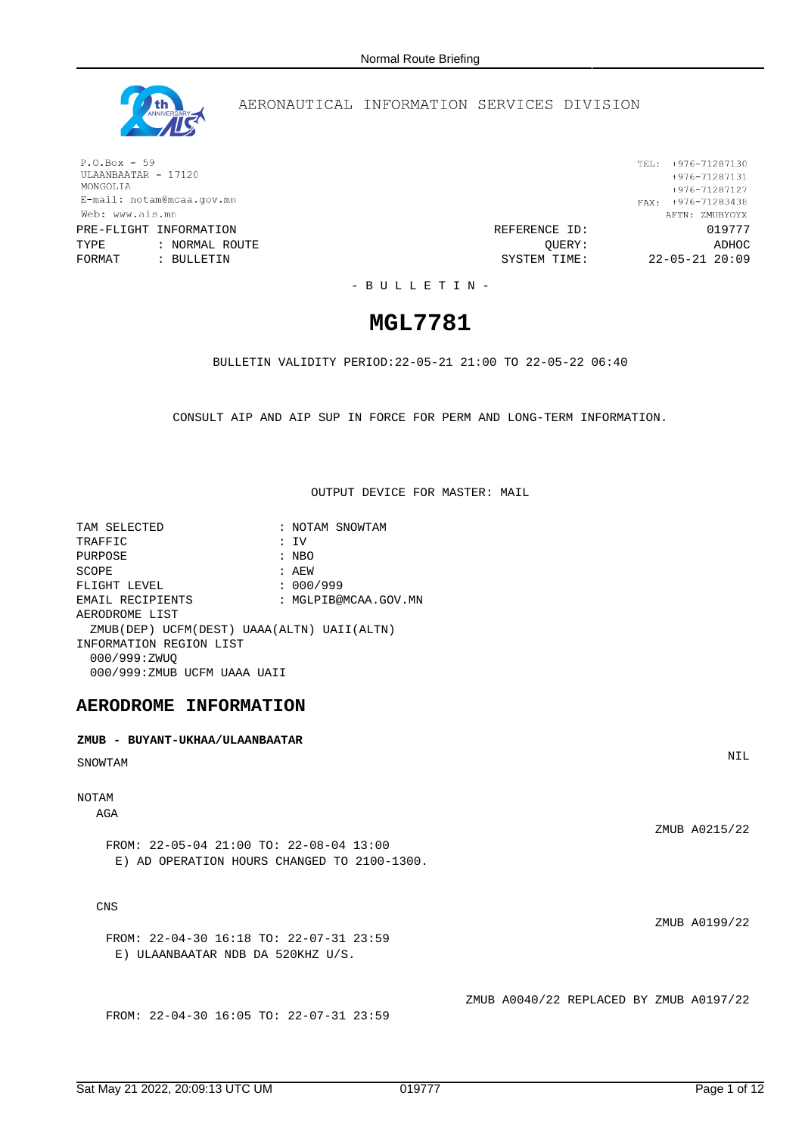

## AERONAUTICAL INFORMATION SERVICES DIVISION

 $P.O.Box - 59$ ULAANBAATAR - 17120 MONGOLIA E-mail: notam@mcaa.gov.mn Web: www.ais.mn

TYPE : NORMAL ROUTE (22-05-21)<br>FORMAT : BULLETIN : COLLET SYSTEM TIME: 22-05-21 20:09

TEL: +976-71287130  $+976 - 71287131$ +976-71287127 FAX:  $+976-71283438$ AFTN: ZMUBYOYX PRE-FLIGHT INFORMATION REFERENCE ID: 019777  $22 - 05 - 21$  20:09

- B U L L E T I N -

# **MGL7781**

BULLETIN VALIDITY PERIOD:22-05-21 21:00 TO 22-05-22 06:40

CONSULT AIP AND AIP SUP IN FORCE FOR PERM AND LONG-TERM INFORMATION.

OUTPUT DEVICE FOR MASTER: MAIL

| TAM SELECTED                               | : NOTAM SNOWTAM      |
|--------------------------------------------|----------------------|
| TRAFFIC                                    | : IV                 |
| PURPOSE                                    | : NBO                |
| SCOPE                                      | : AEW                |
| FLIGHT LEVEL                               | : 000/999            |
| EMAIL RECIPIENTS                           | : MGLPIB@MCAA.GOV.MN |
| AERODROME LIST                             |                      |
| ZMUB(DEP) UCFM(DEST) UAAA(ALTN) UAII(ALTN) |                      |
| INFORMATION REGION LIST                    |                      |
| 000/999:ZWUO                               |                      |
| 000/999:ZMUB UCFM UAAA UAII                |                      |

## **AERODROME INFORMATION**

# **ZMUB - BUYANT-UKHAA/ULAANBAATAR** SNOWTAM NIL EXAMPLE THE STATE OF STATE OF STATE OF STATE OF STATE OF STATE OF STATE OF STATE OF STATE OF STATE OF STATE OF STATE OF STATE OF STATE OF STATE OF STATE OF STATE OF STATE OF STATE OF STATE OF STATE OF STATE OF NOTAM AGA ZMUB A0215/22 FROM: 22-05-04 21:00 TO: 22-08-04 13:00 E) AD OPERATION HOURS CHANGED TO 2100-1300. CNS ZMUB A0199/22 FROM: 22-04-30 16:18 TO: 22-07-31 23:59 E) ULAANBAATAR NDB DA 520KHZ U/S. ZMUB A0040/22 REPLACED BY ZMUB A0197/22 FROM: 22-04-30 16:05 TO: 22-07-31 23:59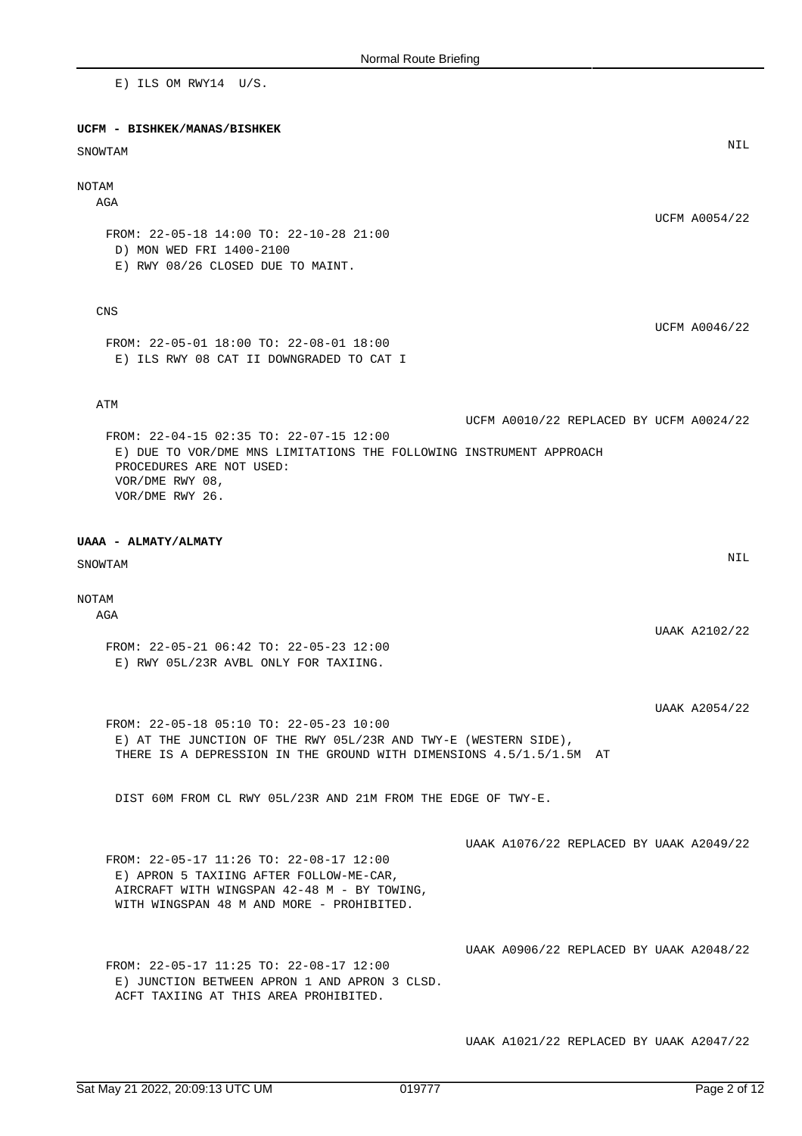E) ILS OM RWY14 U/S. **UCFM - BISHKEK/MANAS/BISHKEK** SNOWTAM NIL WAS ARRESTED FOR A STATE OF THE STATE OF THE STATE OF THE STATE OF THE STATE OF THE STATE OF THE STATE OF THE STATE OF THE STATE OF THE STATE OF THE STATE OF THE STATE OF THE STATE OF THE STATE OF THE STATE OF NOTAM AGA UCFM A0054/22 FROM: 22-05-18 14:00 TO: 22-10-28 21:00 D) MON WED FRI 1400-2100 E) RWY 08/26 CLOSED DUE TO MAINT. CNS UCFM A0046/22 FROM: 22-05-01 18:00 TO: 22-08-01 18:00 E) ILS RWY 08 CAT II DOWNGRADED TO CAT I ATM UCFM A0010/22 REPLACED BY UCFM A0024/22 FROM: 22-04-15 02:35 TO: 22-07-15 12:00 E) DUE TO VOR/DME MNS LIMITATIONS THE FOLLOWING INSTRUMENT APPROACH PROCEDURES ARE NOT USED: VOR/DME RWY 08, VOR/DME RWY 26. **UAAA - ALMATY/ALMATY** SNOWTAM NIL EXAMPLE THE STATE OF STATE OF STATE OF STATE OF STATE OF STATE OF STATE OF STATE OF STATE OF STATE OF STATE OF STATE OF STATE OF STATE OF STATE OF STATE OF STATE OF STATE OF STATE OF STATE OF STATE OF STATE OF NOTAM **AGA** UAAK A2102/22 FROM: 22-05-21 06:42 TO: 22-05-23 12:00 E) RWY 05L/23R AVBL ONLY FOR TAXIING. UAAK A2054/22 FROM: 22-05-18 05:10 TO: 22-05-23 10:00 E) AT THE JUNCTION OF THE RWY 05L/23R AND TWY-E (WESTERN SIDE), THERE IS A DEPRESSION IN THE GROUND WITH DIMENSIONS 4.5/1.5/1.5M AT DIST 60M FROM CL RWY 05L/23R AND 21M FROM THE EDGE OF TWY-E. UAAK A1076/22 REPLACED BY UAAK A2049/22 FROM: 22-05-17 11:26 TO: 22-08-17 12:00 E) APRON 5 TAXIING AFTER FOLLOW-ME-CAR, AIRCRAFT WITH WINGSPAN 42-48 M - BY TOWING, WITH WINGSPAN 48 M AND MORE - PROHIBITED. UAAK A0906/22 REPLACED BY UAAK A2048/22 FROM: 22-05-17 11:25 TO: 22-08-17 12:00 E) JUNCTION BETWEEN APRON 1 AND APRON 3 CLSD. ACFT TAXIING AT THIS AREA PROHIBITED.

UAAK A1021/22 REPLACED BY UAAK A2047/22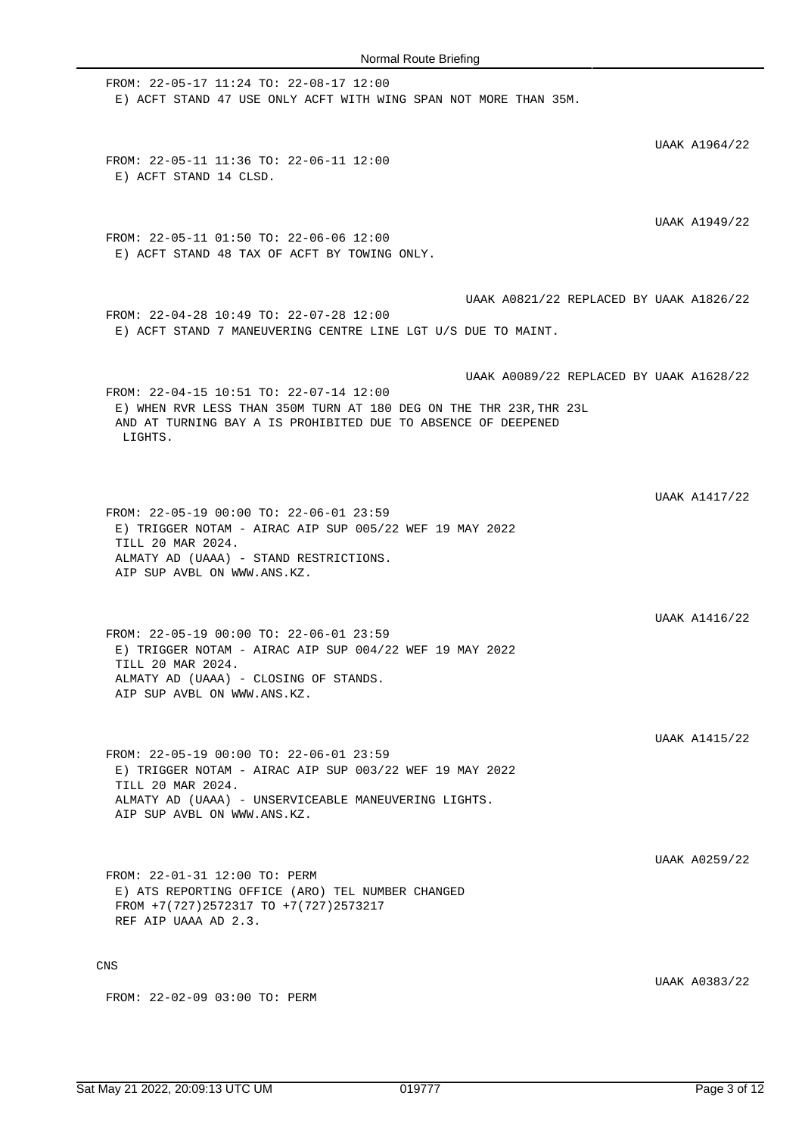FROM: 22-05-17 11:24 TO: 22-08-17 12:00 E) ACFT STAND 47 USE ONLY ACFT WITH WING SPAN NOT MORE THAN 35M. UAAK A1964/22 FROM: 22-05-11 11:36 TO: 22-06-11 12:00 E) ACFT STAND 14 CLSD. UAAK A1949/22 FROM: 22-05-11 01:50 TO: 22-06-06 12:00 E) ACFT STAND 48 TAX OF ACFT BY TOWING ONLY. UAAK A0821/22 REPLACED BY UAAK A1826/22 FROM: 22-04-28 10:49 TO: 22-07-28 12:00 E) ACFT STAND 7 MANEUVERING CENTRE LINE LGT U/S DUE TO MAINT. UAAK A0089/22 REPLACED BY UAAK A1628/22 FROM: 22-04-15 10:51 TO: 22-07-14 12:00 E) WHEN RVR LESS THAN 350M TURN AT 180 DEG ON THE THR 23R,THR 23L AND AT TURNING BAY A IS PROHIBITED DUE TO ABSENCE OF DEEPENED LIGHTS. UAAK A1417/22 FROM: 22-05-19 00:00 TO: 22-06-01 23:59 E) TRIGGER NOTAM - AIRAC AIP SUP 005/22 WEF 19 MAY 2022 TILL 20 MAR 2024. ALMATY AD (UAAA) - STAND RESTRICTIONS. AIP SUP AVBL ON WWW.ANS.KZ. UAAK A1416/22 FROM: 22-05-19 00:00 TO: 22-06-01 23:59 E) TRIGGER NOTAM - AIRAC AIP SUP 004/22 WEF 19 MAY 2022 TILL 20 MAR 2024. ALMATY AD (UAAA) - CLOSING OF STANDS. AIP SUP AVBL ON WWW.ANS.KZ. UAAK A1415/22 FROM: 22-05-19 00:00 TO: 22-06-01 23:59 E) TRIGGER NOTAM - AIRAC AIP SUP 003/22 WEF 19 MAY 2022 TILL 20 MAR 2024. ALMATY AD (UAAA) - UNSERVICEABLE MANEUVERING LIGHTS. AIP SUP AVBL ON WWW.ANS.KZ. UAAK A0259/22 FROM: 22-01-31 12:00 TO: PERM E) ATS REPORTING OFFICE (ARO) TEL NUMBER CHANGED FROM +7(727)2572317 TO +7(727)2573217 REF AIP UAAA AD 2.3. CNS UAAK A0383/22 FROM: 22-02-09 03:00 TO: PERM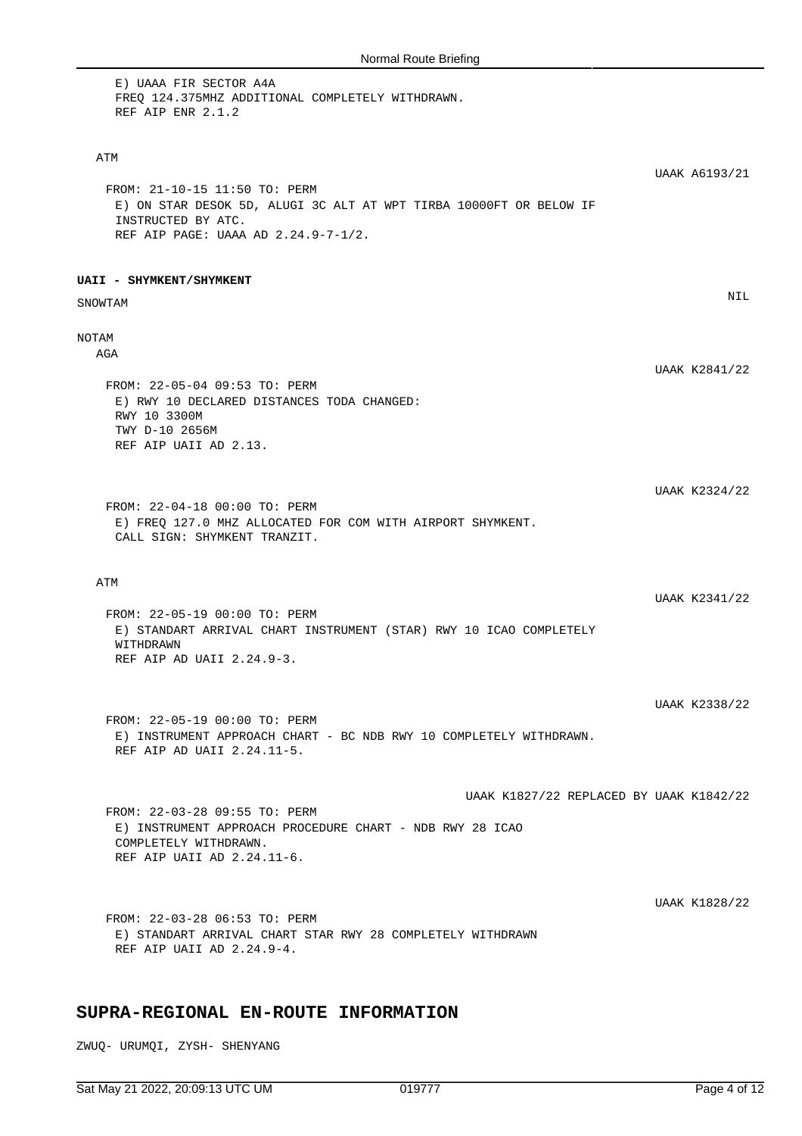| E) UAAA FIR SECTOR A4A<br>FREQ 124.375MHZ ADDITIONAL COMPLETELY WITHDRAWN.<br>REF AIP ENR 2.1.2                                                                  |                      |
|------------------------------------------------------------------------------------------------------------------------------------------------------------------|----------------------|
| ATM                                                                                                                                                              | UAAK A6193/21        |
| FROM: 21-10-15 11:50 TO: PERM<br>E) ON STAR DESOK 5D, ALUGI 3C ALT AT WPT TIRBA 10000FT OR BELOW IF<br>INSTRUCTED BY ATC.<br>REF AIP PAGE: UAAA AD 2.24.9-7-1/2. |                      |
| UAII - SHYMKENT/SHYMKENT                                                                                                                                         |                      |
| SNOWTAM                                                                                                                                                          | NIL                  |
| NOTAM<br>AGA                                                                                                                                                     |                      |
| FROM: 22-05-04 09:53 TO: PERM<br>E) RWY 10 DECLARED DISTANCES TODA CHANGED:<br>RWY 10 3300M<br>TWY D-10 2656M                                                    | UAAK K2841/22        |
| REF AIP UAII AD 2.13.                                                                                                                                            |                      |
| FROM: 22-04-18 00:00 TO: PERM<br>E) FREQ 127.0 MHZ ALLOCATED FOR COM WITH AIRPORT SHYMKENT.<br>CALL SIGN: SHYMKENT TRANZIT.                                      | UAAK K2324/22        |
| ATM                                                                                                                                                              |                      |
| FROM: 22-05-19 00:00 TO: PERM<br>E) STANDART ARRIVAL CHART INSTRUMENT (STAR) RWY 10 ICAO COMPLETELY<br>WITHDRAWN<br>REF AIP AD UAII 2.24.9-3.                    | <b>UAAK K2341/22</b> |
|                                                                                                                                                                  | UAAK K2338/22        |
| FROM: 22-05-19 00:00 TO: PERM<br>E) INSTRUMENT APPROACH CHART - BC NDB RWY 10 COMPLETELY WITHDRAWN.<br>REF AIP AD UAII 2.24.11-5.                                |                      |
| UAAK K1827/22 REPLACED BY UAAK K1842/22                                                                                                                          |                      |
| FROM: 22-03-28 09:55 TO: PERM<br>E) INSTRUMENT APPROACH PROCEDURE CHART - NDB RWY 28 ICAO<br>COMPLETELY WITHDRAWN.<br>REF AIP UAII AD 2.24.11-6.                 |                      |
|                                                                                                                                                                  |                      |
| FROM: 22-03-28 06:53 TO: PERM<br>E) STANDART ARRIVAL CHART STAR RWY 28 COMPLETELY WITHDRAWN<br>REF AIP UAII AD 2.24.9-4.                                         | <b>UAAK K1828/22</b> |
| SUPRA-REGIONAL EN-ROUTE INFORMATION                                                                                                                              |                      |

ZWUQ- URUMQI, ZYSH- SHENYANG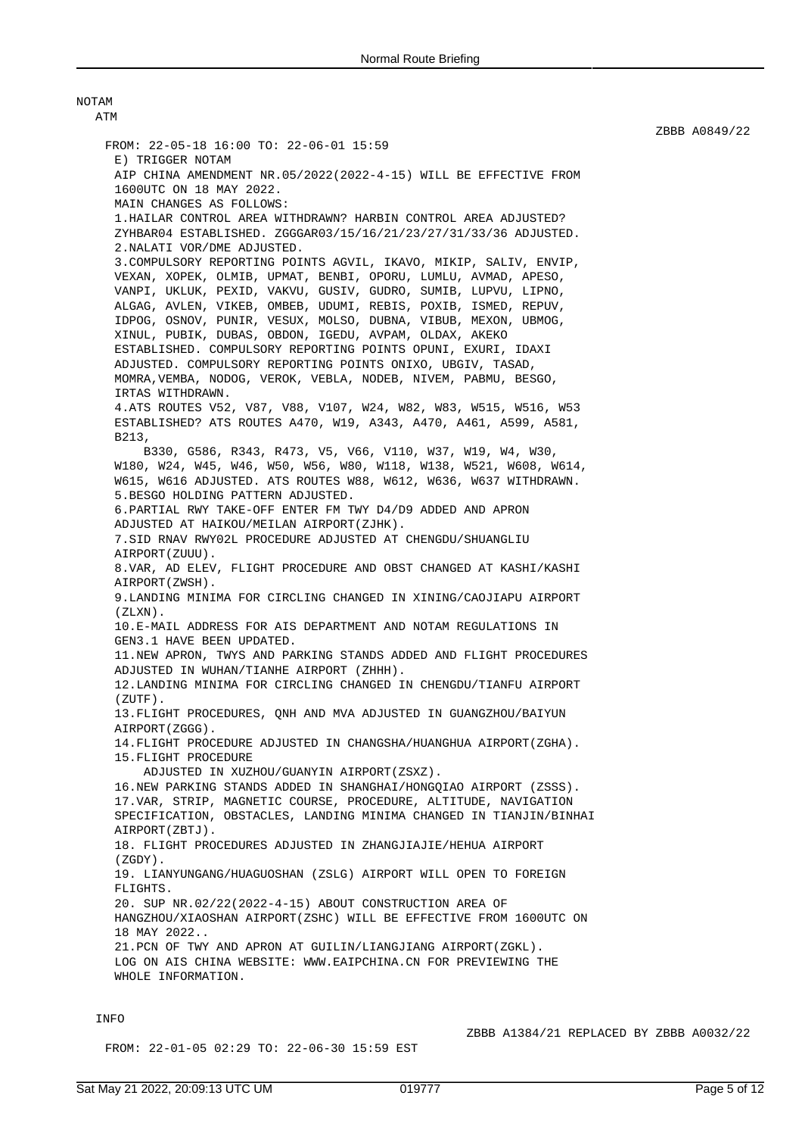| NOTAM                                                                                                                                                                                                                                                                                                                                                                                          |
|------------------------------------------------------------------------------------------------------------------------------------------------------------------------------------------------------------------------------------------------------------------------------------------------------------------------------------------------------------------------------------------------|
| ATM                                                                                                                                                                                                                                                                                                                                                                                            |
| FROM: 22-05-18 16:00 TO: 22-06-01 15:59<br>E) TRIGGER NOTAM<br>AIP CHINA AMENDMENT NR.05/2022(2022-4-15) WILL BE EFFECTIVE FROM<br>1600UTC ON 18 MAY 2022.                                                                                                                                                                                                                                     |
| MAIN CHANGES AS FOLLOWS:                                                                                                                                                                                                                                                                                                                                                                       |
| 1. HAILAR CONTROL AREA WITHDRAWN? HARBIN CONTROL AREA ADJUSTED?<br>ZYHBAR04 ESTABLISHED. ZGGGAR03/15/16/21/23/27/31/33/36 ADJUSTED.<br>2. NALATI VOR/DME ADJUSTED.<br>3. COMPULSORY REPORTING POINTS AGVIL, IKAVO, MIKIP, SALIV, ENVIP,                                                                                                                                                        |
| VEXAN, XOPEK, OLMIB, UPMAT, BENBI, OPORU, LUMLU, AVMAD, APESO,<br>VANPI, UKLUK, PEXID, VAKVU, GUSIV, GUDRO, SUMIB, LUPVU, LIPNO,<br>ALGAG, AVLEN, VIKEB, OMBEB, UDUMI, REBIS, POXIB, ISMED, REPUV,<br>IDPOG, OSNOV, PUNIR, VESUX, MOLSO, DUBNA, VIBUB, MEXON, UBMOG,<br>XINUL, PUBIK, DUBAS, OBDON, IGEDU, AVPAM, OLDAX, AKEKO<br>ESTABLISHED. COMPULSORY REPORTING POINTS OPUNI, EXURI, IDAXI |
| ADJUSTED. COMPULSORY REPORTING POINTS ONIXO, UBGIV, TASAD,<br>MOMRA, VEMBA, NODOG, VEROK, VEBLA, NODEB, NIVEM, PABMU, BESGO,<br>IRTAS WITHDRAWN.                                                                                                                                                                                                                                               |
| 4.ATS ROUTES V52, V87, V88, V107, W24, W82, W83, W515, W516, W53<br>ESTABLISHED? ATS ROUTES A470, W19, A343, A470, A461, A599, A581,<br>B213,<br>B330, G586, R343, R473, V5, V66, V110, W37, W19, W4, W30,                                                                                                                                                                                     |
| W180, W24, W45, W46, W50, W56, W80, W118, W138, W521, W608, W614,<br>W615, W616 ADJUSTED. ATS ROUTES W88, W612, W636, W637 WITHDRAWN.<br>5.BESGO HOLDING PATTERN ADJUSTED.<br>6. PARTIAL RWY TAKE-OFF ENTER FM TWY D4/D9 ADDED AND APRON                                                                                                                                                       |
| ADJUSTED AT HAIKOU/MEILAN AIRPORT(ZJHK).                                                                                                                                                                                                                                                                                                                                                       |
| 7.SID RNAV RWY02L PROCEDURE ADJUSTED AT CHENGDU/SHUANGLIU<br>AIRPORT (ZUUU).                                                                                                                                                                                                                                                                                                                   |
| 8. VAR, AD ELEV, FLIGHT PROCEDURE AND OBST CHANGED AT KASHI/KASHI<br>AIRPORT (ZWSH).                                                                                                                                                                                                                                                                                                           |
| 9. LANDING MINIMA FOR CIRCLING CHANGED IN XINING/CAOJIAPU AIRPORT<br>(ZLXN).                                                                                                                                                                                                                                                                                                                   |
| 10. E-MAIL ADDRESS FOR AIS DEPARTMENT AND NOTAM REGULATIONS IN<br>GEN3.1 HAVE BEEN UPDATED.                                                                                                                                                                                                                                                                                                    |
| 11.NEW APRON, TWYS AND PARKING STANDS ADDED AND FLIGHT PROCEDURES                                                                                                                                                                                                                                                                                                                              |
| ADJUSTED IN WUHAN/TIANHE AIRPORT (ZHHH).<br>12. LANDING MINIMA FOR CIRCLING CHANGED IN CHENGDU/TIANFU AIRPORT<br>$(ZUTF)$ .                                                                                                                                                                                                                                                                    |
| 13. FLIGHT PROCEDURES, ONH AND MVA ADJUSTED IN GUANGZHOU/BAIYUN<br>AIRPORT (ZGGG).                                                                                                                                                                                                                                                                                                             |
| 14. FLIGHT PROCEDURE ADJUSTED IN CHANGSHA/HUANGHUA AIRPORT (ZGHA).<br>15. FLIGHT PROCEDURE<br>ADJUSTED IN XUZHOU/GUANYIN AIRPORT(ZSXZ).                                                                                                                                                                                                                                                        |
| 16.NEW PARKING STANDS ADDED IN SHANGHAI/HONGQIAO AIRPORT (ZSSS).<br>17. VAR, STRIP, MAGNETIC COURSE, PROCEDURE, ALTITUDE, NAVIGATION<br>SPECIFICATION, OBSTACLES, LANDING MINIMA CHANGED IN TIANJIN/BINHAI<br>AIRPORT(ZBTJ).                                                                                                                                                                   |
| 18. FLIGHT PROCEDURES ADJUSTED IN ZHANGJIAJIE/HEHUA AIRPORT<br>(ZGDY).                                                                                                                                                                                                                                                                                                                         |
| 19. LIANYUNGANG/HUAGUOSHAN (ZSLG) AIRPORT WILL OPEN TO FOREIGN<br>FLIGHTS.                                                                                                                                                                                                                                                                                                                     |
| 20. SUP NR.02/22(2022-4-15) ABOUT CONSTRUCTION AREA OF<br>HANGZHOU/XIAOSHAN AIRPORT(ZSHC) WILL BE EFFECTIVE FROM 1600UTC ON<br>18 MAY 2022                                                                                                                                                                                                                                                     |
| 21. PCN OF TWY AND APRON AT GUILIN/LIANGJIANG AIRPORT(ZGKL).<br>LOG ON AIS CHINA WEBSITE: WWW.EAIPCHINA.CN FOR PREVIEWING THE<br>WHOLE INFORMATION.                                                                                                                                                                                                                                            |

## INFO

FROM: 22-01-05 02:29 TO: 22-06-30 15:59 EST

ZBBB A1384/21 REPLACED BY ZBBB A0032/22

ZBBB A0849/22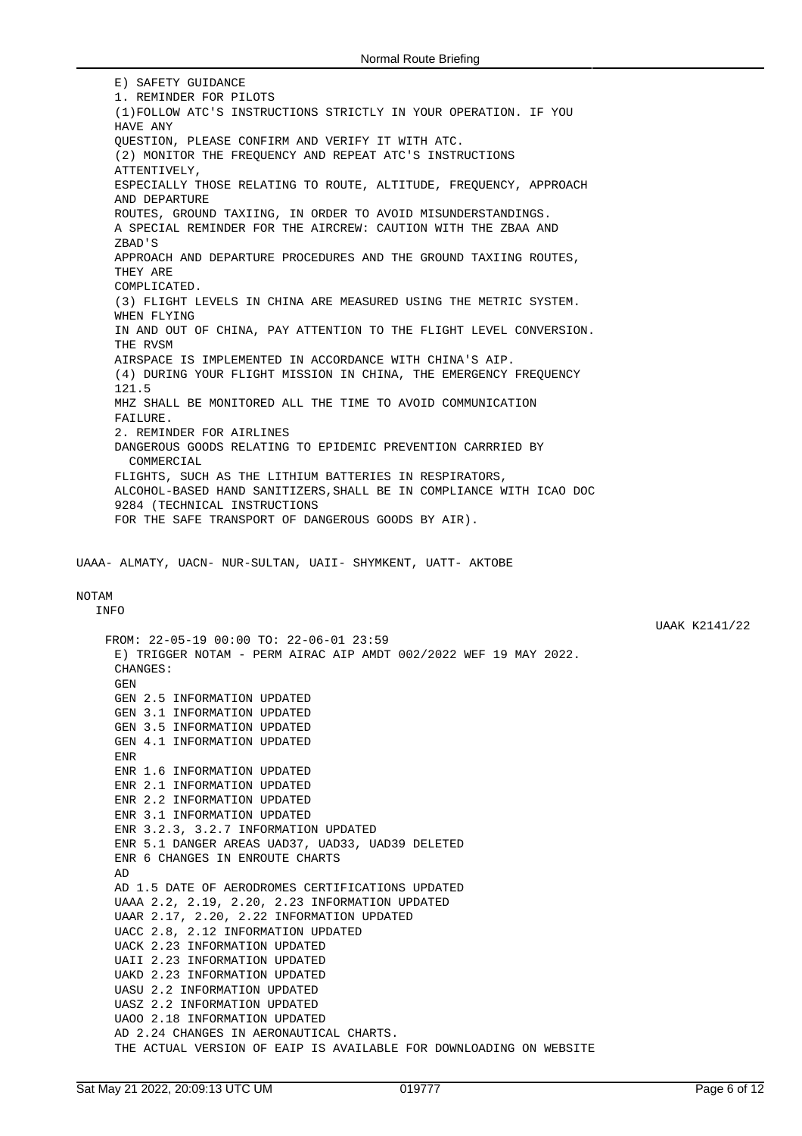1. REMINDER FOR PILOTS (1)FOLLOW ATC'S INSTRUCTIONS STRICTLY IN YOUR OPERATION. IF YOU HAVE ANY QUESTION, PLEASE CONFIRM AND VERIFY IT WITH ATC. (2) MONITOR THE FREQUENCY AND REPEAT ATC'S INSTRUCTIONS ATTENTIVELY, ESPECIALLY THOSE RELATING TO ROUTE, ALTITUDE, FREQUENCY, APPROACH AND DEPARTURE ROUTES, GROUND TAXIING, IN ORDER TO AVOID MISUNDERSTANDINGS. A SPECIAL REMINDER FOR THE AIRCREW: CAUTION WITH THE ZBAA AND ZBAD'S APPROACH AND DEPARTURE PROCEDURES AND THE GROUND TAXIING ROUTES, THEY ARE COMPLICATED. (3) FLIGHT LEVELS IN CHINA ARE MEASURED USING THE METRIC SYSTEM. WHEN FLYING IN AND OUT OF CHINA, PAY ATTENTION TO THE FLIGHT LEVEL CONVERSION. THE RVSM AIRSPACE IS IMPLEMENTED IN ACCORDANCE WITH CHINA'S AIP. (4) DURING YOUR FLIGHT MISSION IN CHINA, THE EMERGENCY FREQUENCY 121.5 MHZ SHALL BE MONITORED ALL THE TIME TO AVOID COMMUNICATION FAILURE. 2. REMINDER FOR AIRLINES DANGEROUS GOODS RELATING TO EPIDEMIC PREVENTION CARRRIED BY COMMERCIAL FLIGHTS, SUCH AS THE LITHIUM BATTERIES IN RESPIRATORS, ALCOHOL-BASED HAND SANITIZERS,SHALL BE IN COMPLIANCE WITH ICAO DOC 9284 (TECHNICAL INSTRUCTIONS FOR THE SAFE TRANSPORT OF DANGEROUS GOODS BY AIR).

UAAA- ALMATY, UACN- NUR-SULTAN, UAII- SHYMKENT, UATT- AKTOBE

#### NOTAM

INFO

E) SAFETY GUIDANCE

FROM: 22-05-19 00:00 TO: 22-06-01 23:59 E) TRIGGER NOTAM - PERM AIRAC AIP AMDT 002/2022 WEF 19 MAY 2022. CHANGES: GEN GEN 2.5 INFORMATION UPDATED GEN 3.1 INFORMATION UPDATED GEN 3.5 INFORMATION UPDATED GEN 4.1 INFORMATION UPDATED ENR ENR 1.6 INFORMATION UPDATED ENR 2.1 INFORMATION UPDATED ENR 2.2 INFORMATION UPDATED ENR 3.1 INFORMATION UPDATED ENR 3.2.3, 3.2.7 INFORMATION UPDATED ENR 5.1 DANGER AREAS UAD37, UAD33, UAD39 DELETED ENR 6 CHANGES IN ENROUTE CHARTS AD AD 1.5 DATE OF AERODROMES CERTIFICATIONS UPDATED UAAA 2.2, 2.19, 2.20, 2.23 INFORMATION UPDATED UAAR 2.17, 2.20, 2.22 INFORMATION UPDATED UACC 2.8, 2.12 INFORMATION UPDATED UACK 2.23 INFORMATION UPDATED UAII 2.23 INFORMATION UPDATED UAKD 2.23 INFORMATION UPDATED UASU 2.2 INFORMATION UPDATED UASZ 2.2 INFORMATION UPDATED UAOO 2.18 INFORMATION UPDATED AD 2.24 CHANGES IN AERONAUTICAL CHARTS. THE ACTUAL VERSION OF EAIP IS AVAILABLE FOR DOWNLOADING ON WEBSITE UAAK K2141/22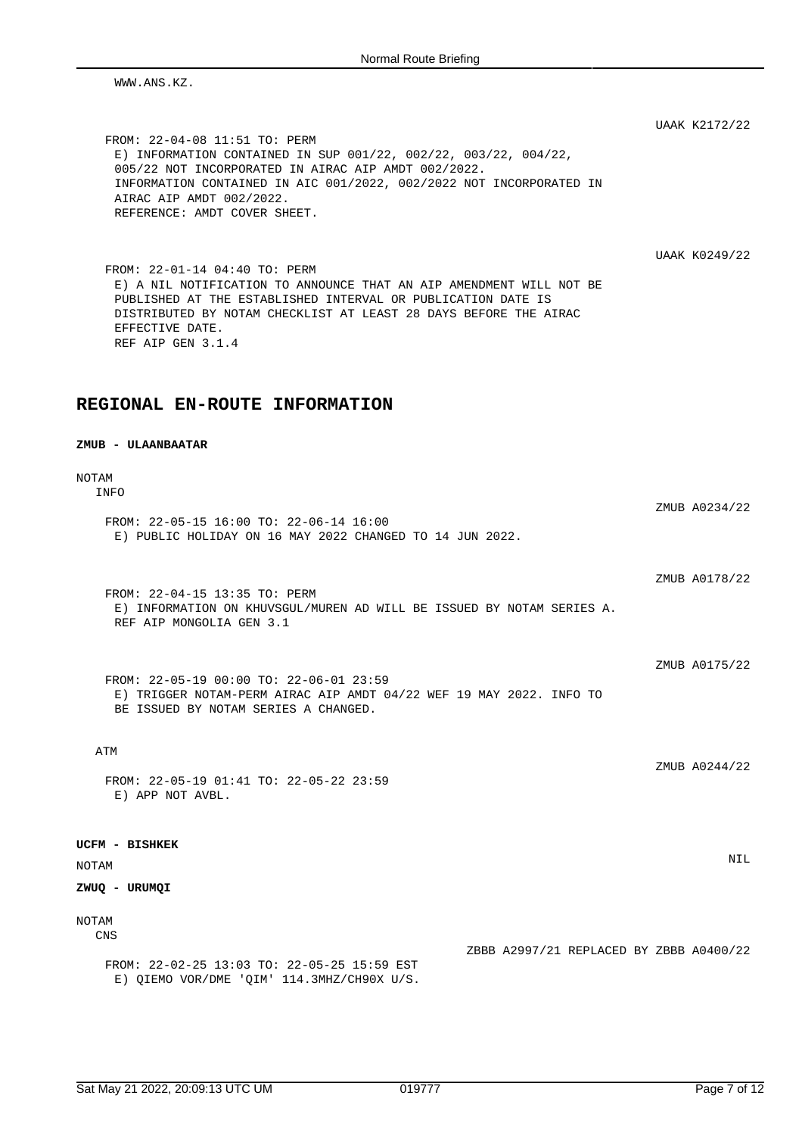WWW.ANS.KZ.

UAAK K2172/22

FROM: 22-04-08 11:51 TO: PERM E) INFORMATION CONTAINED IN SUP 001/22, 002/22, 003/22, 004/22, 005/22 NOT INCORPORATED IN AIRAC AIP AMDT 002/2022. INFORMATION CONTAINED IN AIC 001/2022, 002/2022 NOT INCORPORATED IN AIRAC AIP AMDT 002/2022. REFERENCE: AMDT COVER SHEET.

UAAK K0249/22

ZMUB A0175/22

FROM: 22-01-14 04:40 TO: PERM E) A NIL NOTIFICATION TO ANNOUNCE THAT AN AIP AMENDMENT WILL NOT BE PUBLISHED AT THE ESTABLISHED INTERVAL OR PUBLICATION DATE IS DISTRIBUTED BY NOTAM CHECKLIST AT LEAST 28 DAYS BEFORE THE AIRAC EFFECTIVE DATE. REF AIP GEN 3.1.4

## **REGIONAL EN-ROUTE INFORMATION**

#### **ZMUB - ULAANBAATAR**

NOTAM INFO

ZMUB A0234/22 FROM: 22-05-15 16:00 TO: 22-06-14 16:00 E) PUBLIC HOLIDAY ON 16 MAY 2022 CHANGED TO 14 JUN 2022. ZMUB A0178/22 FROM: 22-04-15 13:35 TO: PERM E) INFORMATION ON KHUVSGUL/MUREN AD WILL BE ISSUED BY NOTAM SERIES A. REF AIP MONGOLIA GEN 3.1

FROM: 22-05-19 00:00 TO: 22-06-01 23:59 E) TRIGGER NOTAM-PERM AIRAC AIP AMDT 04/22 WEF 19 MAY 2022. INFO TO BE ISSUED BY NOTAM SERIES A CHANGED.

ATM

ZMUB A0244/22

FROM: 22-05-19 01:41 TO: 22-05-22 23:59 E) APP NOT AVBL.

#### **UCFM - BISHKEK**

NOTAM NIL

## **ZWUQ - URUMQI**

NOTAM CNS

FROM: 22-02-25 13:03 TO: 22-05-25 15:59 EST E) QIEMO VOR/DME 'QIM' 114.3MHZ/CH90X U/S.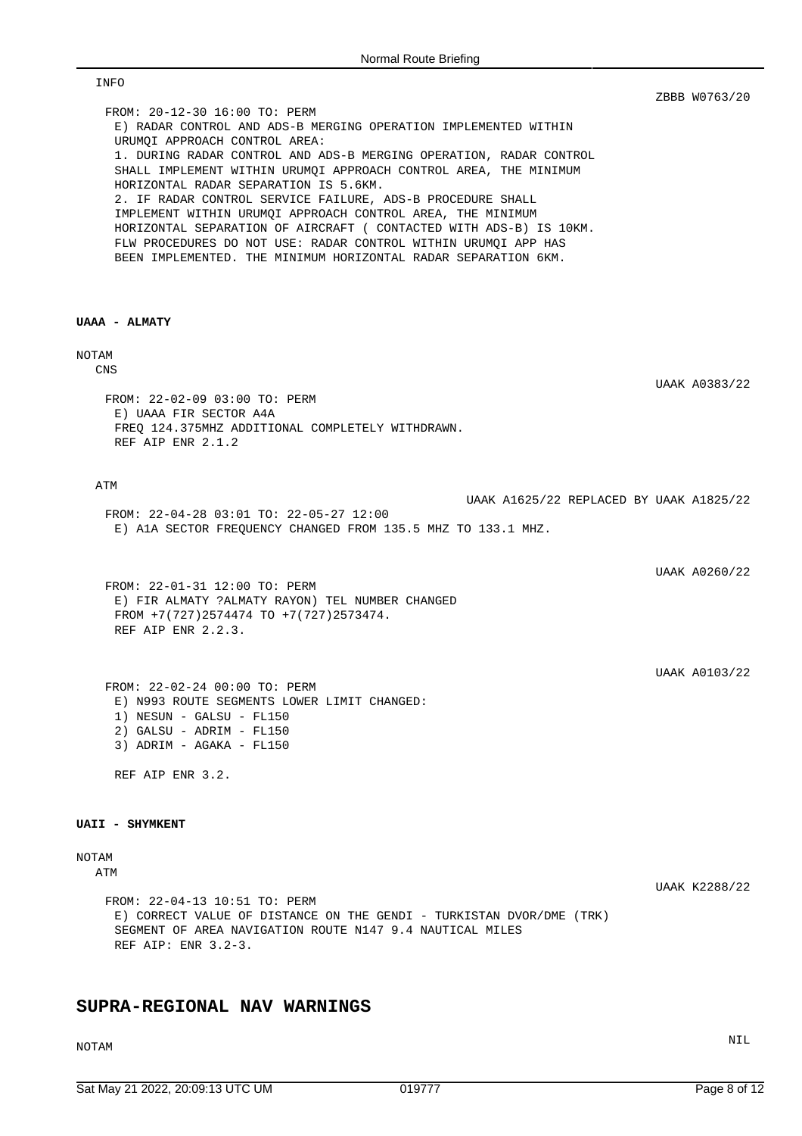| nomanouto Dhomy                                                                                                                                                                                                                       |               |
|---------------------------------------------------------------------------------------------------------------------------------------------------------------------------------------------------------------------------------------|---------------|
| INFO                                                                                                                                                                                                                                  |               |
| FROM: 20-12-30 16:00 TO: PERM<br>E) RADAR CONTROL AND ADS-B MERGING OPERATION IMPLEMENTED WITHIN<br>URUMOI APPROACH CONTROL AREA:<br>1. DURING RADAR CONTROL AND ADS-B MERGING OPERATION, RADAR CONTROL                               | ZBBB W0763/20 |
| SHALL IMPLEMENT WITHIN URUMQI APPROACH CONTROL AREA, THE MINIMUM<br>HORIZONTAL RADAR SEPARATION IS 5.6KM.<br>2. IF RADAR CONTROL SERVICE FAILURE, ADS-B PROCEDURE SHALL<br>IMPLEMENT WITHIN URUMQI APPROACH CONTROL AREA, THE MINIMUM |               |
| HORIZONTAL SEPARATION OF AIRCRAFT ( CONTACTED WITH ADS-B) IS 10KM.<br>FLW PROCEDURES DO NOT USE: RADAR CONTROL WITHIN URUMQI APP HAS<br>BEEN IMPLEMENTED. THE MINIMUM HORIZONTAL RADAR SEPARATION 6KM.                                |               |
| UAAA - ALMATY                                                                                                                                                                                                                         |               |
| NOTAM<br>CNS                                                                                                                                                                                                                          |               |
| FROM: 22-02-09 03:00 TO: PERM<br>E) UAAA FIR SECTOR A4A                                                                                                                                                                               | UAAK A0383/22 |
| FREO 124.375MHZ ADDITIONAL COMPLETELY WITHDRAWN.<br>REF AIP ENR 2.1.2                                                                                                                                                                 |               |
| ATM<br>UAAK A1625/22 REPLACED BY UAAK A1825/22                                                                                                                                                                                        |               |
| FROM: 22-04-28 03:01 TO: 22-05-27 12:00<br>E) A1A SECTOR FREQUENCY CHANGED FROM 135.5 MHZ TO 133.1 MHZ.                                                                                                                               |               |
| FROM: 22-01-31 12:00 TO: PERM                                                                                                                                                                                                         | UAAK A0260/22 |
| E) FIR ALMATY ?ALMATY RAYON) TEL NUMBER CHANGED<br>FROM $+7(727)2574474$ TO $+7(727)2573474$ .<br>REF AIP ENR 2.2.3.                                                                                                                  |               |
|                                                                                                                                                                                                                                       | UAAK A0103/22 |
| FROM: 22-02-24 00:00 TO: PERM<br>E) N993 ROUTE SEGMENTS LOWER LIMIT CHANGED:<br>1) NESUN - GALSU - FL150<br>$2)$ GALSU - ADRIM - FL150                                                                                                |               |
| 3) ADRIM - AGAKA - FL150<br>REF AIP ENR 3.2.                                                                                                                                                                                          |               |
|                                                                                                                                                                                                                                       |               |
| <b>UAII - SHYMKENT</b>                                                                                                                                                                                                                |               |
| NOTAM<br>ATM                                                                                                                                                                                                                          | UAAK K2288/22 |
| FROM: 22-04-13 10:51 TO: PERM<br>E) CORRECT VALUE OF DISTANCE ON THE GENDI - TURKISTAN DVOR/DME (TRK)<br>SEGMENT OF AREA NAVIGATION ROUTE N147 9.4 NAUTICAL MILES<br>REF AIP: ENR 3.2-3.                                              |               |

## **SUPRA-REGIONAL NAV WARNINGS**

NOTAM NIL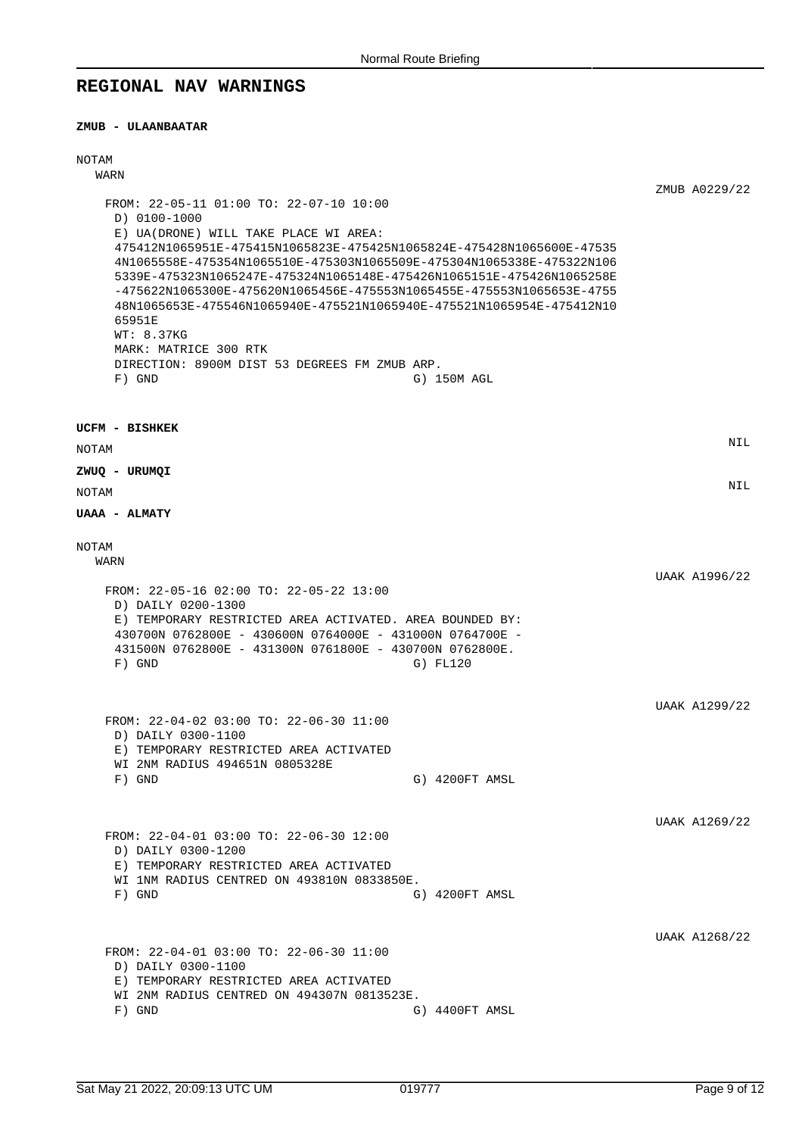## **REGIONAL NAV WARNINGS**

#### **ZMUB - ULAANBAATAR**

## NOTAM WARN ZMUB A0229/22 FROM: 22-05-11 01:00 TO: 22-07-10 10:00 D) 0100-1000 E) UA(DRONE) WILL TAKE PLACE WI AREA: 475412N1065951E-475415N1065823E-475425N1065824E-475428N1065600E-47535 4N1065558E-475354N1065510E-475303N1065509E-475304N1065338E-475322N106 5339E-475323N1065247E-475324N1065148E-475426N1065151E-475426N1065258E -475622N1065300E-475620N1065456E-475553N1065455E-475553N1065653E-4755 48N1065653E-475546N1065940E-475521N1065940E-475521N1065954E-475412N10 65951E WT: 8.37KG MARK: MATRICE 300 RTK DIRECTION: 8900M DIST 53 DEGREES FM ZMUB ARP. F) GND G) 150M AGL **UCFM - BISHKEK** NOTAM NIL **ZWUQ - URUMQI** NOTAM NIL **UAAA - ALMATY** NOTAM WARN UAAK A1996/22 FROM: 22-05-16 02:00 TO: 22-05-22 13:00 D) DAILY 0200-1300 E) TEMPORARY RESTRICTED AREA ACTIVATED. AREA BOUNDED BY: 430700N 0762800E - 430600N 0764000E - 431000N 0764700E - 431500N 0762800E - 431300N 0761800E - 430700N 0762800E. F) GND G) FL120 UAAK A1299/22 FROM: 22-04-02 03:00 TO: 22-06-30 11:00 D) DAILY 0300-1100 E) TEMPORARY RESTRICTED AREA ACTIVATED WI 2NM RADIUS 494651N 0805328E F) GND G) 4200FT AMSL UAAK A1269/22 FROM: 22-04-01 03:00 TO: 22-06-30 12:00 D) DAILY 0300-1200 E) TEMPORARY RESTRICTED AREA ACTIVATED WI 1NM RADIUS CENTRED ON 493810N 0833850E. F) GND G) 4200FT AMSL UAAK A1268/22 FROM: 22-04-01 03:00 TO: 22-06-30 11:00 D) DAILY 0300-1100 E) TEMPORARY RESTRICTED AREA ACTIVATED WI 2NM RADIUS CENTRED ON 494307N 0813523E. F) GND G) 4400FT AMSL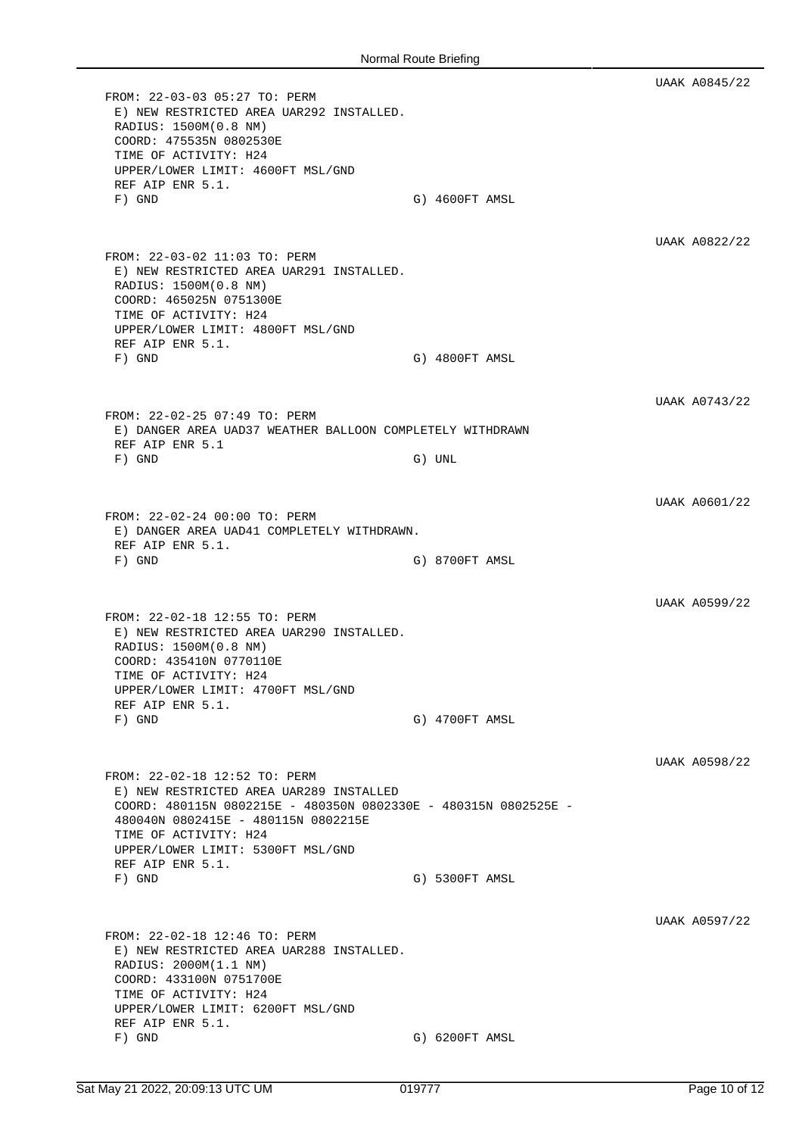UAAK A0845/22 FROM: 22-03-03 05:27 TO: PERM E) NEW RESTRICTED AREA UAR292 INSTALLED. RADIUS: 1500M(0.8 NM) COORD: 475535N 0802530E TIME OF ACTIVITY: H24 UPPER/LOWER LIMIT: 4600FT MSL/GND REF AIP ENR 5.1. F) GND G) 4600FT AMSL UAAK A0822/22 FROM: 22-03-02 11:03 TO: PERM E) NEW RESTRICTED AREA UAR291 INSTALLED. RADIUS: 1500M(0.8 NM) COORD: 465025N 0751300E TIME OF ACTIVITY: H24 UPPER/LOWER LIMIT: 4800FT MSL/GND REF AIP ENR 5.1. F) GND G) 4800FT AMSL UAAK A0743/22 FROM: 22-02-25 07:49 TO: PERM E) DANGER AREA UAD37 WEATHER BALLOON COMPLETELY WITHDRAWN REF AIP ENR 5.1 F) GND G) UNL UAAK A0601/22 FROM: 22-02-24 00:00 TO: PERM E) DANGER AREA UAD41 COMPLETELY WITHDRAWN. REF AIP ENR 5.1. F) GND G) 8700FT AMSL UAAK A0599/22 FROM: 22-02-18 12:55 TO: PERM E) NEW RESTRICTED AREA UAR290 INSTALLED. RADIUS: 1500M(0.8 NM) COORD: 435410N 0770110E TIME OF ACTIVITY: H24 UPPER/LOWER LIMIT: 4700FT MSL/GND REF AIP ENR 5.1. F) GND G) 4700FT AMSL UAAK A0598/22 FROM: 22-02-18 12:52 TO: PERM E) NEW RESTRICTED AREA UAR289 INSTALLED COORD: 480115N 0802215E - 480350N 0802330E - 480315N 0802525E - 480040N 0802415E - 480115N 0802215E TIME OF ACTIVITY: H24 UPPER/LOWER LIMIT: 5300FT MSL/GND REF AIP ENR 5.1. F) GND G) 5300FT AMSL UAAK A0597/22 FROM: 22-02-18 12:46 TO: PERM E) NEW RESTRICTED AREA UAR288 INSTALLED. RADIUS: 2000M(1.1 NM) COORD: 433100N 0751700E TIME OF ACTIVITY: H24 UPPER/LOWER LIMIT: 6200FT MSL/GND REF AIP ENR 5.1. F) GND G) 6200FT AMSL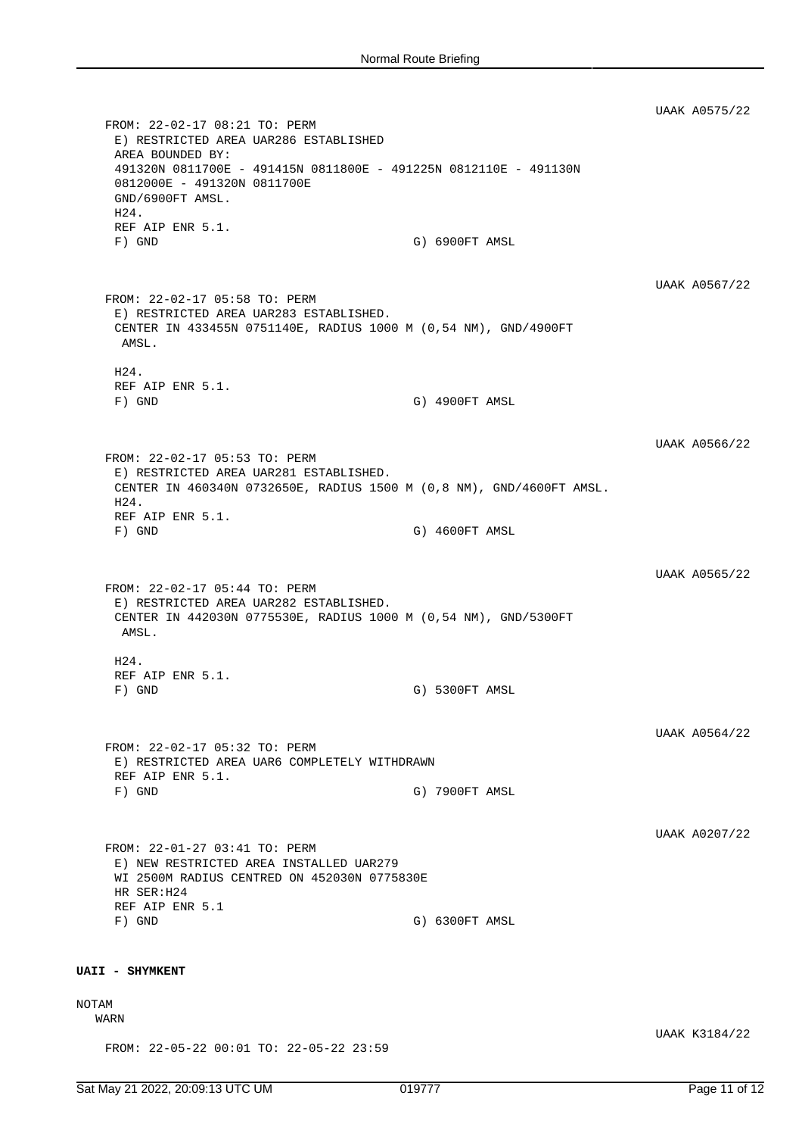UAAK A0575/22 FROM: 22-02-17 08:21 TO: PERM E) RESTRICTED AREA UAR286 ESTABLISHED AREA BOUNDED BY: 491320N 0811700E - 491415N 0811800E - 491225N 0812110E - 491130N 0812000E - 491320N 0811700E GND/6900FT AMSL. H24. REF AIP ENR 5.1. F) GND G) GND G) G900FT AMSL UAAK A0567/22 FROM: 22-02-17 05:58 TO: PERM E) RESTRICTED AREA UAR283 ESTABLISHED. CENTER IN 433455N 0751140E, RADIUS 1000 M (0,54 NM), GND/4900FT AMSL. H24. REF AIP ENR 5.1. F) GND G) 4900FT AMSL UAAK A0566/22 FROM: 22-02-17 05:53 TO: PERM E) RESTRICTED AREA UAR281 ESTABLISHED. CENTER IN 460340N 0732650E, RADIUS 1500 M (0,8 NM), GND/4600FT AMSL. H24. REF AIP ENR 5.1. F) GND G) 4600FT AMSL UAAK A0565/22 FROM: 22-02-17 05:44 TO: PERM E) RESTRICTED AREA UAR282 ESTABLISHED. CENTER IN 442030N 0775530E, RADIUS 1000 M (0,54 NM), GND/5300FT AMSL. H24. REF AIP ENR 5.1. F) GND G) 5300FT AMSL UAAK A0564/22 FROM: 22-02-17 05:32 TO: PERM E) RESTRICTED AREA UAR6 COMPLETELY WITHDRAWN REF AIP ENR 5.1. F) GND G) 7900FT AMSL UAAK A0207/22 FROM: 22-01-27 03:41 TO: PERM E) NEW RESTRICTED AREA INSTALLED UAR279 WI 2500M RADIUS CENTRED ON 452030N 0775830E HR SER:H24 REF AIP ENR 5.1<br>F) GND G) 6300FT AMSL **UAII - SHYMKENT** NOTAM WARN UAAK K3184/22 FROM: 22-05-22 00:01 TO: 22-05-22 23:59